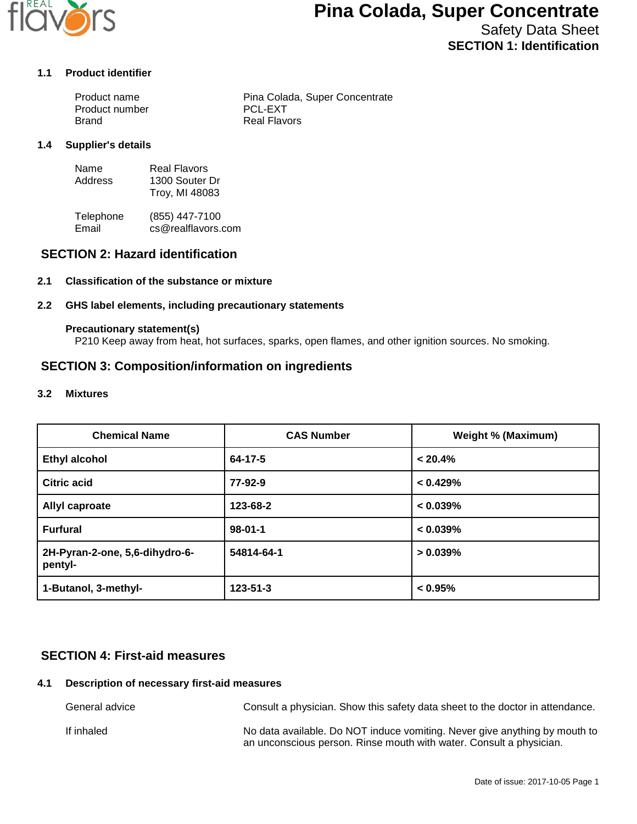

# **Pina Colada, Super Concentrate**

Safety Data Sheet **SECTION 1: Identification**

### **1.1 Product identifier**

| Product name   | Pina Colada, Super Concentrate |
|----------------|--------------------------------|
| Product number | <b>PCL-EXT</b>                 |
| Brand          | Real Flavors                   |

#### **1.4 Supplier's details**

| Name    | Real Flavors   |
|---------|----------------|
| Address | 1300 Souter Dr |
|         | Troy, MI 48083 |

Telephone (855) 447-7100<br>Email cs@realflavors. cs@realflavors.com

## **SECTION 2: Hazard identification**

### **2.1 Classification of the substance or mixture**

### **2.2 GHS label elements, including precautionary statements**

#### **Precautionary statement(s)**

P210 Keep away from heat, hot surfaces, sparks, open flames, and other ignition sources. No smoking.

## **SECTION 3: Composition/information on ingredients**

#### **3.2 Mixtures**

| <b>Chemical Name</b>                      | <b>CAS Number</b> | <b>Weight % (Maximum)</b> |
|-------------------------------------------|-------------------|---------------------------|
| <b>Ethyl alcohol</b>                      | 64-17-5           | $< 20.4\%$                |
| <b>Citric acid</b>                        | 77-92-9           | < 0.429%                  |
| Allyl caproate                            | 123-68-2          | $< 0.039\%$               |
| <b>Furfural</b>                           | $98 - 01 - 1$     | $< 0.039\%$               |
| 2H-Pyran-2-one, 5,6-dihydro-6-<br>pentyl- | 54814-64-1        | $> 0.039\%$               |
| 1-Butanol, 3-methyl-                      | $123 - 51 - 3$    | $< 0.95\%$                |

## **SECTION 4: First-aid measures**

## **4.1 Description of necessary first-aid measures**

| General advice | Consult a physician. Show this safety data sheet to the doctor in attendance.                                                                     |
|----------------|---------------------------------------------------------------------------------------------------------------------------------------------------|
| If inhaled     | No data available. Do NOT induce vomiting. Never give anything by mouth to<br>an unconscious person. Rinse mouth with water. Consult a physician. |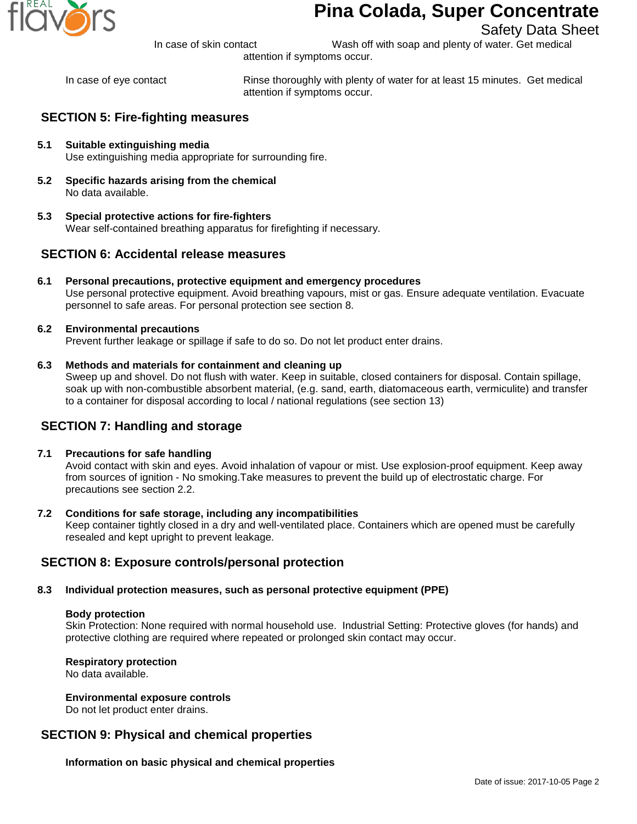

# **Pina Colada, Super Concentrate**

Safety Data Sheet

In case of skin contact Wash off with soap and plenty of water. Get medical

attention if symptoms occur.

In case of eye contact Rinse thoroughly with plenty of water for at least 15 minutes. Get medical attention if symptoms occur.

## **SECTION 5: Fire-fighting measures**

- **5.1 Suitable extinguishing media** Use extinguishing media appropriate for surrounding fire.
- **5.2 Specific hazards arising from the chemical** No data available.
- **5.3 Special protective actions for fire-fighters** Wear self-contained breathing apparatus for firefighting if necessary.

## **SECTION 6: Accidental release measures**

- **6.1 Personal precautions, protective equipment and emergency procedures** Use personal protective equipment. Avoid breathing vapours, mist or gas. Ensure adequate ventilation. Evacuate personnel to safe areas. For personal protection see section 8.
- **6.2 Environmental precautions** Prevent further leakage or spillage if safe to do so. Do not let product enter drains.
- **6.3 Methods and materials for containment and cleaning up**

Sweep up and shovel. Do not flush with water. Keep in suitable, closed containers for disposal. Contain spillage, soak up with non-combustible absorbent material, (e.g. sand, earth, diatomaceous earth, vermiculite) and transfer to a container for disposal according to local / national regulations (see section 13)

## **SECTION 7: Handling and storage**

### **7.1 Precautions for safe handling**

Avoid contact with skin and eyes. Avoid inhalation of vapour or mist. Use explosion-proof equipment. Keep away from sources of ignition - No smoking.Take measures to prevent the build up of electrostatic charge. For precautions see section 2.2.

### **7.2 Conditions for safe storage, including any incompatibilities**

Keep container tightly closed in a dry and well-ventilated place. Containers which are opened must be carefully resealed and kept upright to prevent leakage.

## **SECTION 8: Exposure controls/personal protection**

## **8.3 Individual protection measures, such as personal protective equipment (PPE)**

### **Body protection**

Skin Protection: None required with normal household use. Industrial Setting: Protective gloves (for hands) and protective clothing are required where repeated or prolonged skin contact may occur.

### **Respiratory protection**

No data available.

### **Environmental exposure controls**

Do not let product enter drains.

## **SECTION 9: Physical and chemical properties**

**Information on basic physical and chemical properties**